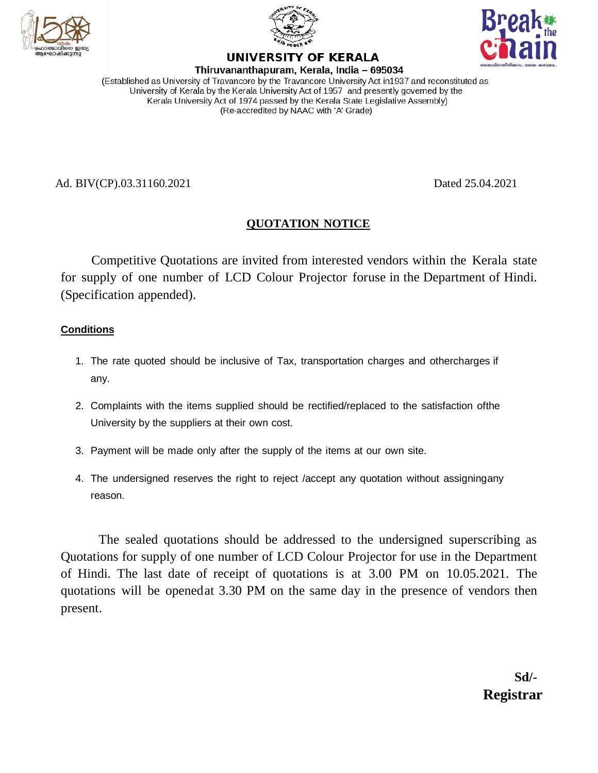





#### UNIVERSITY OF KERALA Thiruvananthapuram, Kerala, India - 695034

(Established as University of Travancore by the Travancore University Act in1937 and reconstituted as University of Kerala by the Kerala University Act of 1957 and presently governed by the Kerala University Act of 1974 passed by the Kerala State Legislative Assembly) (Re-accredited by NAAC with 'A' Grade)

Ad. BIV(CP).03.31160.2021 Dated 25.04.2021

# **QUOTATION NOTICE**

Competitive Quotations are invited from interested vendors within the Kerala state for supply of one number of LCD Colour Projector foruse in the Department of Hindi. (Specification appended).

## **Conditions**

- 1. The rate quoted should be inclusive of Tax, transportation charges and othercharges if any.
- 2. Complaints with the items supplied should be rectified/replaced to the satisfaction ofthe University by the suppliers at their own cost.
- 3. Payment will be made only after the supply of the items at our own site.
- 4. The undersigned reserves the right to reject /accept any quotation without assigningany reason.

The sealed quotations should be addressed to the undersigned superscribing as Quotations for supply of one number of LCD Colour Projector for use in the Department of Hindi. The last date of receipt of quotations is at 3.00 PM on 10.05.2021. The quotations will be openedat 3.30 PM on the same day in the presence of vendors then present.

> **Sd/- Registrar**